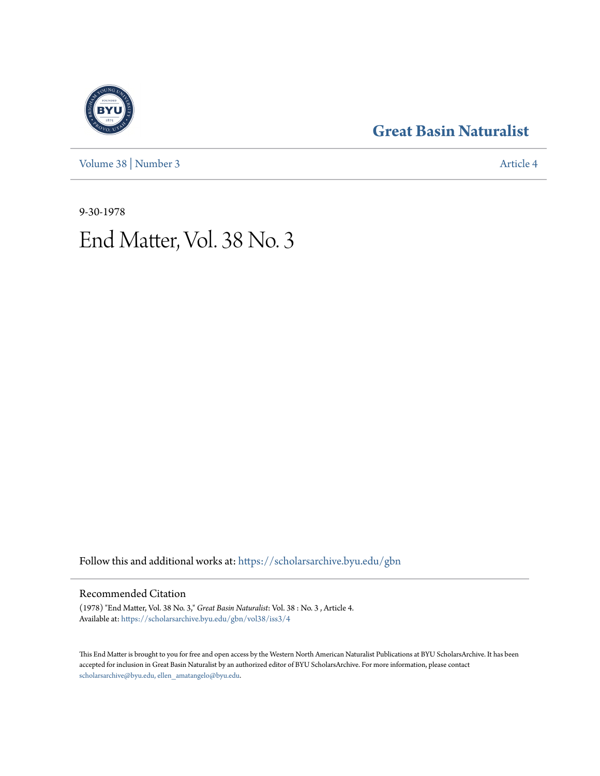[Volume 38](https://scholarsarchive.byu.edu/gbn/vol38?utm_source=scholarsarchive.byu.edu%2Fgbn%2Fvol38%2Fiss3%2F4&utm_medium=PDF&utm_campaign=PDFCoverPages) | [Number 3](https://scholarsarchive.byu.edu/gbn/vol38/iss3?utm_source=scholarsarchive.byu.edu%2Fgbn%2Fvol38%2Fiss3%2F4&utm_medium=PDF&utm_campaign=PDFCoverPages) [Article 4](https://scholarsarchive.byu.edu/gbn/vol38/iss3/4?utm_source=scholarsarchive.byu.edu%2Fgbn%2Fvol38%2Fiss3%2F4&utm_medium=PDF&utm_campaign=PDFCoverPages)

## **[Great Basin Naturalist](https://scholarsarchive.byu.edu/gbn?utm_source=scholarsarchive.byu.edu%2Fgbn%2Fvol38%2Fiss3%2F4&utm_medium=PDF&utm_campaign=PDFCoverPages)**

9-30-1978

# End Matter, Vol. 38 No. 3

Follow this and additional works at: [https://scholarsarchive.byu.edu/gbn](https://scholarsarchive.byu.edu/gbn?utm_source=scholarsarchive.byu.edu%2Fgbn%2Fvol38%2Fiss3%2F4&utm_medium=PDF&utm_campaign=PDFCoverPages)

### Recommended Citation

(1978) "End Matter, Vol. 38 No. 3," *Great Basin Naturalist*: Vol. 38 : No. 3 , Article 4. Available at: [https://scholarsarchive.byu.edu/gbn/vol38/iss3/4](https://scholarsarchive.byu.edu/gbn/vol38/iss3/4?utm_source=scholarsarchive.byu.edu%2Fgbn%2Fvol38%2Fiss3%2F4&utm_medium=PDF&utm_campaign=PDFCoverPages)

This End Matter is brought to you for free and open access by the Western North American Naturalist Publications at BYU ScholarsArchive. It has been accepted for inclusion in Great Basin Naturalist by an authorized editor of BYU ScholarsArchive. For more information, please contact [scholarsarchive@byu.edu, ellen\\_amatangelo@byu.edu.](mailto:scholarsarchive@byu.edu,%20ellen_amatangelo@byu.edu)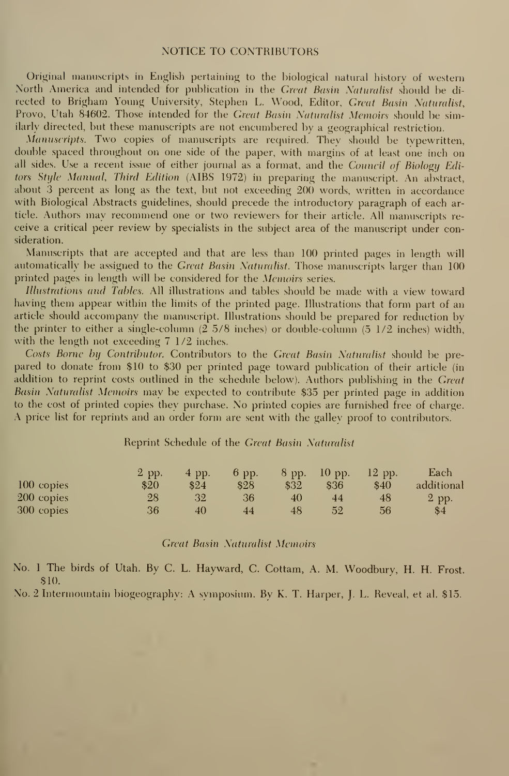#### NOTICE TO CONTRIBUTORS

Original manuscripts in English pertaining to the biological natural history of western North America and intended for publication in the Great Basin Naturalist should be di rected to Brigham Young University, Stephen L. Wood, Editor, Great Basin Naturalist, Provo, Utah 84602. Those intended for the Great Basin Naturalist Memoirs should be similarly directed, but these manuscripts are not encumbered by a geographical restriction.

Manuscripts. Two copies of manuscripts are required. They should be typewritten, double spaced throughout on one side of the paper, with margins of at least one inch on all sides. Use a recent issue of either journal as a format, and the Council of Biology Editors Style Manual, Third Edition (AIBS 1972) in preparing the manuscript. An abstract, about 3 percent as long as the text, but not exceeding 200 words, written in accordance with Biological Abstracts guidelines, should precede the introductory paragraph of each article. Authors may recommend one or two reviewers for their article. All manuscripts receive a critical peer review by specialists in the subject area of the manuscript under consideration.

Manuscripts that are accepted and that are less than 100 printed pages in length will automatically be assigned to the Great Basin Naturalist. Those manuscripts larger than 100 printed pages in length will be considered for the Memoirs series.

Illustrations and Tables. All illustrations and tables should be made with <sup>a</sup> view toward having them appear within the limits of the printed page. Illustrations that form part of an article should accompany the manuscript. Illustrations should be prepared for reduction bv the printer to either a single-column  $(2\overline{5}/8)$  inches) or double-column  $(5\overline{1}/2)$  inches) width, with the length not exceeding 7 1/2 inches.

Costs Borne by Contributor. Contributors to the Great Basin Naturalist should be pre pared to donate from \$10 to \$30 per printed page toward publication of their article (in addition to reprint costs outlined in the schedule below). Authors publishing in the Great Basin Naturalist Memoirs may be expected to contribute \$35 per printed page in addition to the cost of printed copies they purchase. No printed copies are furnished free of charge. A price list for reprints and an order form are sent with the galley proof to contributors.

#### Reprint Schedule of the Great Basin Naturalist

|              | $2$ pp. | $4$ pp. | $6$ pp. | $8$ pp. | $-10$ pp. | $12$ pp. | Each       |
|--------------|---------|---------|---------|---------|-----------|----------|------------|
| $100$ copies | \$20    | \$24    | \$28    | \$32    | \$36      | \$40     | additional |
| 200 copies   | 28      | 32      | 36      | 40      | 44        | 48       | 2 pp.      |
| 300 copies   | 36      | 40      | 44      | 48      | 52        | 56       | \$4        |

#### **Great Basin Naturalist Memoirs**

No. 1 The birds of Utah. By C. L. Hayward, C. Cottam, A. M. Woodbury, H. H. Frost. \$10.

No. 2 Intermountain biogeography: A symposium. By K. T. Harper, J. L. Reveal, et al. \$15.